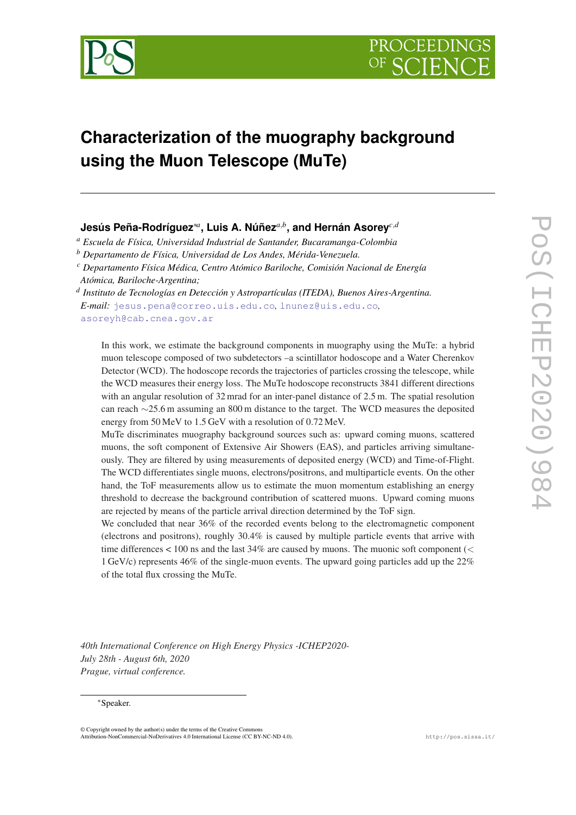

# **Characterization of the muography background using the Muon Telescope (MuTe)**

# **Jesús Peña-Rodríguez**\**<sup>a</sup>* **, Luis A. Núñez***a*,*<sup>b</sup>* **, and Hernán Asorey***c*,*<sup>d</sup>*

*<sup>a</sup> Escuela de Física, Universidad Industrial de Santander, Bucaramanga-Colombia*

*<sup>b</sup> Departamento de Física, Universidad de Los Andes, Mérida-Venezuela.*

*<sup>c</sup> Departamento Física Médica, Centro Atómico Bariloche, Comisión Nacional de Energía Atómica, Bariloche-Argentina;*

*d Instituto de Tecnologías en Detección y Astropartículas (ITEDA), Buenos Aires-Argentina. E-mail:* [jesus.pena@correo.uis.edu.co](mailto:jesus.pena@correo.uis.edu.co)*,* [lnunez@uis.edu.co](mailto:lnunez@uis.edu.co)*,* [asoreyh@cab.cnea.gov.ar](mailto:asoreyh@cab.cnea.gov.ar)

In this work, we estimate the background components in muography using the MuTe: a hybrid muon telescope composed of two subdetectors –a scintillator hodoscope and a Water Cherenkov Detector (WCD). The hodoscope records the trajectories of particles crossing the telescope, while the WCD measures their energy loss. The MuTe hodoscope reconstructs 3841 different directions with an angular resolution of 32 mrad for an inter-panel distance of 2.5 m. The spatial resolution can reach ∼25.6 m assuming an 800 m distance to the target. The WCD measures the deposited energy from 50 MeV to 1.5 GeV with a resolution of 0.72 MeV.

MuTe discriminates muography background sources such as: upward coming muons, scattered muons, the soft component of Extensive Air Showers (EAS), and particles arriving simultaneously. They are filtered by using measurements of deposited energy (WCD) and Time-of-Flight. The WCD differentiates single muons, electrons/positrons, and multiparticle events. On the other hand, the ToF measurements allow us to estimate the muon momentum establishing an energy threshold to decrease the background contribution of scattered muons. Upward coming muons are rejected by means of the particle arrival direction determined by the ToF sign.

We concluded that near 36% of the recorded events belong to the electromagnetic component (electrons and positrons), roughly 30.4% is caused by multiple particle events that arrive with time differences  $< 100$  ns and the last 34% are caused by muons. The muonic soft component ( $<$ 1 GeV/c) represents 46% of the single-muon events. The upward going particles add up the 22% of the total flux crossing the MuTe.

*40th International Conference on High Energy Physics -ICHEP2020- July 28th - August 6th, 2020 Prague, virtual conference.*

#### \*Speaker.

© Copyright owned by the author(s) under the terms of the Creative Commons Attribution-NonCommercial-NoDerivatives 4.0 International License (CC BY-NC-ND 4.0). http://pos.sissa.it/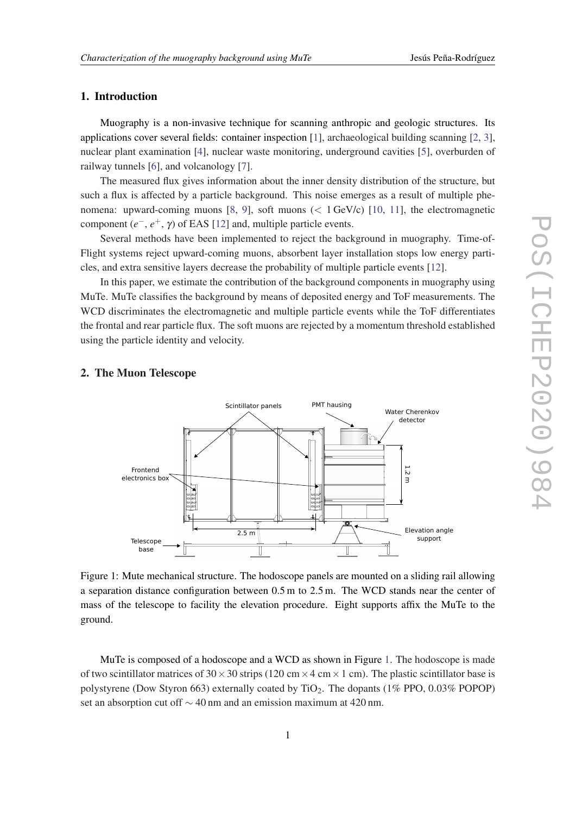## 1. Introduction

Muography is a non-invasive technique for scanning anthropic and geologic structures. Its applications cover several fields: container inspection [[1](#page-5-0)], archaeological building scanning [\[2,](#page-6-0) [3\]](#page-6-0), nuclear plant examination [\[4\]](#page-6-0), nuclear waste monitoring, underground cavities [\[5\]](#page-6-0), overburden of railway tunnels [\[6\]](#page-6-0), and volcanology [[7\]](#page-6-0).

The measured flux gives information about the inner density distribution of the structure, but such a flux is affected by a particle background. This noise emerges as a result of multiple phenomena: upward-coming muons [[8](#page-6-0), [9\]](#page-6-0), soft muons (< 1 GeV/c) [[10,](#page-6-0) [11\]](#page-6-0), the electromagnetic component (*e* <sup>−</sup>, *e* <sup>+</sup>, γ) of EAS [[12\]](#page-6-0) and, multiple particle events.

Several methods have been implemented to reject the background in muography. Time-of-Flight systems reject upward-coming muons, absorbent layer installation stops low energy particles, and extra sensitive layers decrease the probability of multiple particle events [[12\]](#page-6-0).

In this paper, we estimate the contribution of the background components in muography using MuTe. MuTe classifies the background by means of deposited energy and ToF measurements. The WCD discriminates the electromagnetic and multiple particle events while the ToF differentiates the frontal and rear particle flux. The soft muons are rejected by a momentum threshold established using the particle identity and velocity.

#### 2. The Muon Telescope



Figure 1: Mute mechanical structure. The hodoscope panels are mounted on a sliding rail allowing a separation distance configuration between 0.5 m to 2.5 m. The WCD stands near the center of mass of the telescope to facility the elevation procedure. Eight supports affix the MuTe to the ground.

MuTe is composed of a hodoscope and a WCD as shown in Figure 1. The hodoscope is made of two scintillator matrices of  $30 \times 30$  strips (120 cm  $\times$  4 cm  $\times$  1 cm). The plastic scintillator base is polystyrene (Dow Styron 663) externally coated by  $TiO<sub>2</sub>$ . The dopants (1% PPO, 0.03% POPOP) set an absorption cut off ∼ 40 nm and an emission maximum at 420 nm.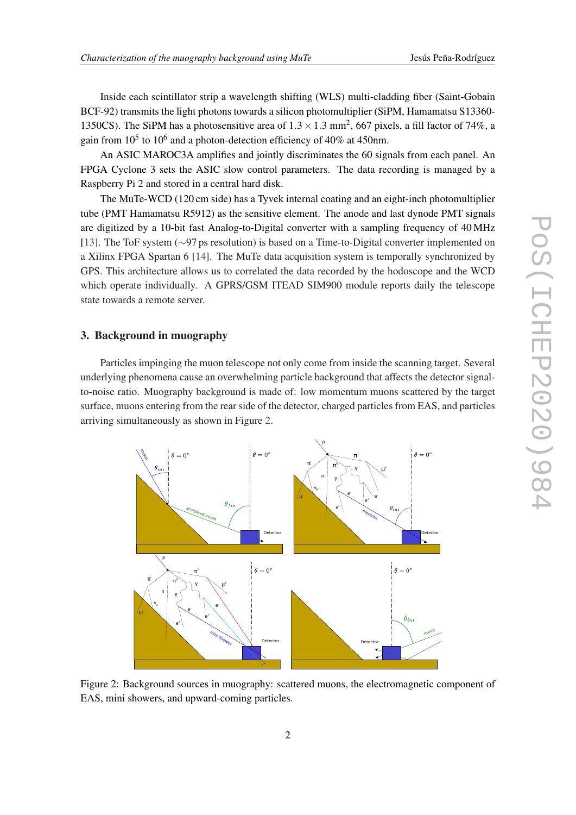Inside each scintillator strip a wavelength shifting (WLS) multi-cladding fiber (Saint-Gobain BCF-92) transmits the light photons towards a silicon photomultiplier (SiPM, Hamamatsu S13360- 1350CS). The SiPM has a photosensitive area of  $1.3 \times 1.3$  mm<sup>2</sup>, 667 pixels, a fill factor of 74%, a gain from  $10^5$  to  $10^6$  and a photon-detection efficiency of 40% at 450nm.

An ASIC MAROC3A amplifies and jointly discriminates the 60 signals from each panel. An FPGA Cyclone 3 sets the ASIC slow control parameters. The data recording is managed by a Raspberry Pi 2 and stored in a central hard disk.

The MuTe-WCD (120 cm side) has a Tyvek internal coating and an eight-inch photomultiplier tube (PMT Hamamatsu R5912) as the sensitive element. The anode and last dynode PMT signals are digitized by a 10-bit fast Analog-to-Digital converter with a sampling frequency of 40 MHz [[13\]](#page-6-0). The ToF system (∼97 ps resolution) is based on a Time-to-Digital converter implemented on a Xilinx FPGA Spartan 6 [\[14\]](#page-6-0). The MuTe data acquisition system is temporally synchronized by GPS. This architecture allows us to correlated the data recorded by the hodoscope and the WCD which operate individually. A GPRS/GSM ITEAD SIM900 module reports daily the telescope state towards a remote server.

### 3. Background in muography

Particles impinging the muon telescope not only come from inside the scanning target. Several underlying phenomena cause an overwhelming particle background that affects the detector signalto-noise ratio. Muography background is made of: low momentum muons scattered by the target surface, muons entering from the rear side of the detector, charged particles from EAS, and particles arriving simultaneously as shown in Figure 2.



Figure 2: Background sources in muography: scattered muons, the electromagnetic component of EAS, mini showers, and upward-coming particles.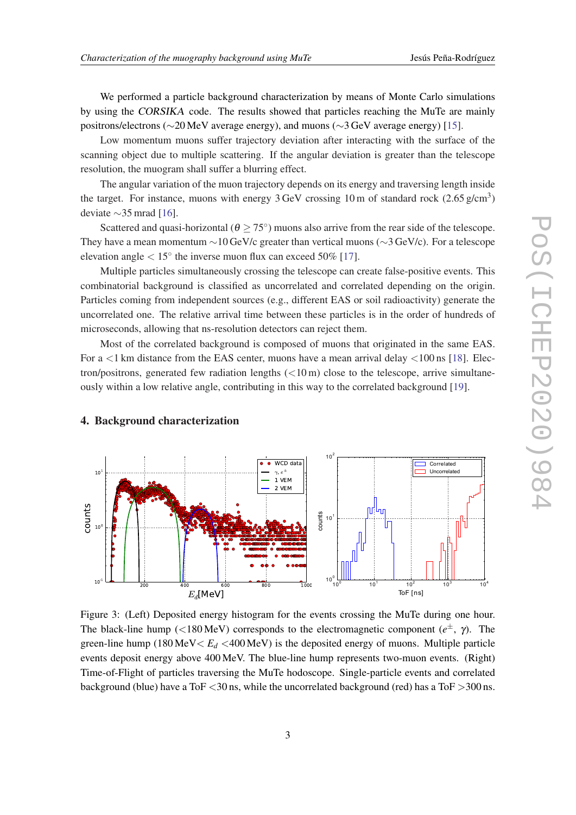<span id="page-3-0"></span>We performed a particle background characterization by means of Monte Carlo simulations by using the CORSIKA code. The results showed that particles reaching the MuTe are mainly positrons/electrons (∼20 MeV average energy), and muons (∼3 GeV average energy) [\[15\]](#page-6-0).

Low momentum muons suffer trajectory deviation after interacting with the surface of the scanning object due to multiple scattering. If the angular deviation is greater than the telescope resolution, the muogram shall suffer a blurring effect.

The angular variation of the muon trajectory depends on its energy and traversing length inside the target. For instance, muons with energy  $3 \text{ GeV}$  crossing 10 m of standard rock  $(2.65 \text{ g/cm}^3)$ deviate ∼35 mrad [\[16](#page-6-0)].

Scattered and quasi-horizontal ( $\theta \ge 75^{\circ}$ ) muons also arrive from the rear side of the telescope. They have a mean momentum  $\sim$ 10 GeV/c greater than vertical muons ( $\sim$ 3 GeV/c). For a telescope elevation angle  $< 15^{\circ}$  the inverse muon flux can exceed 50% [[17\]](#page-6-0).

Multiple particles simultaneously crossing the telescope can create false-positive events. This combinatorial background is classified as uncorrelated and correlated depending on the origin. Particles coming from independent sources (e.g., different EAS or soil radioactivity) generate the uncorrelated one. The relative arrival time between these particles is in the order of hundreds of microseconds, allowing that ns-resolution detectors can reject them.

Most of the correlated background is composed of muons that originated in the same EAS. For  $a \leq 1$  km distance from the EAS center, muons have a mean arrival delay  $\leq 100$  ns [\[18](#page-6-0)]. Electron/positrons, generated few radiation lengths  $(<10 \,\mathrm{m})$  close to the telescope, arrive simultaneously within a low relative angle, contributing in this way to the correlated background [[19\]](#page-6-0).



#### 4. Background characterization

Figure 3: (Left) Deposited energy histogram for the events crossing the MuTe during one hour. The black-line hump (<180 MeV) corresponds to the electromagnetic component (*e* <sup>±</sup>, γ). The green-line hump (180 MeV  $\lt E_d$  <400 MeV) is the deposited energy of muons. Multiple particle events deposit energy above 400 MeV. The blue-line hump represents two-muon events. (Right) Time-of-Flight of particles traversing the MuTe hodoscope. Single-particle events and correlated background (blue) have a ToF  $\lt 30$  ns, while the uncorrelated background (red) has a ToF  $>300$  ns.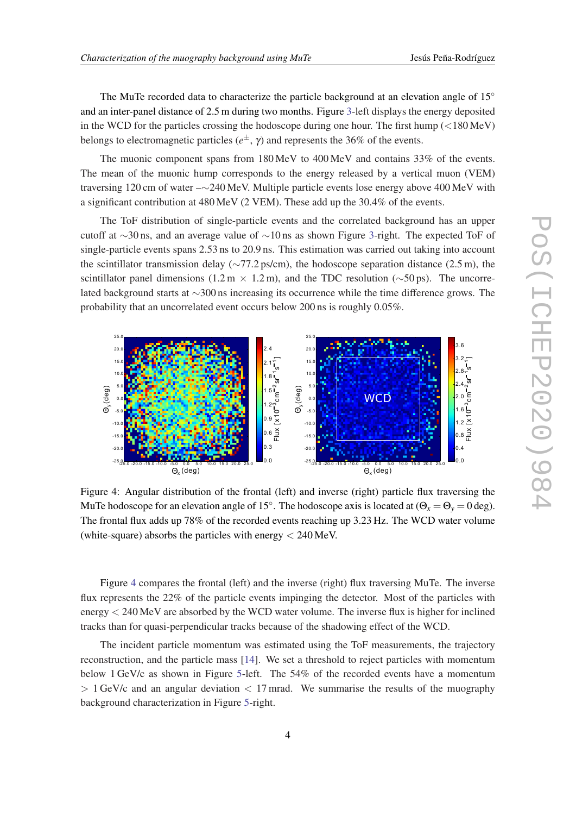The MuTe recorded data to characterize the particle background at an elevation angle of  $15°$ and an inter-panel distance of 2.5 m during two months. Figure [3-](#page-3-0)left displays the energy deposited in the WCD for the particles crossing the hodoscope during one hour. The first hump  $\langle$  <180 MeV) belongs to electromagnetic particles (*e* <sup>±</sup>, γ) and represents the 36% of the events.

The muonic component spans from 180 MeV to 400 MeV and contains 33% of the events. The mean of the muonic hump corresponds to the energy released by a vertical muon (VEM) traversing 120 cm of water –∼240 MeV. Multiple particle events lose energy above 400 MeV with a significant contribution at 480 MeV (2 VEM). These add up the 30.4% of the events.

The ToF distribution of single-particle events and the correlated background has an upper cutoff at ∼30 ns, and an average value of ∼10 ns as shown Figure [3-](#page-3-0)right. The expected ToF of single-particle events spans 2.53 ns to 20.9 ns. This estimation was carried out taking into account the scintillator transmission delay ( $\sim$ 77.2 ps/cm), the hodoscope separation distance (2.5 m), the scintillator panel dimensions (1.2 m × 1.2 m), and the TDC resolution ( $\sim$ 50 ps). The uncorrelated background starts at ∼300 ns increasing its occurrence while the time difference grows. The probability that an uncorrelated event occurs below 200 ns is roughly 0.05%.



Figure 4: Angular distribution of the frontal (left) and inverse (right) particle flux traversing the MuTe hodoscope for an elevation angle of 15°. The hodoscope axis is located at  $(\Theta_x = \Theta_y = 0 \text{ deg})$ . The frontal flux adds up 78% of the recorded events reaching up 3.23 Hz. The WCD water volume (white-square) absorbs the particles with energy  $< 240$  MeV.

Figure 4 compares the frontal (left) and the inverse (right) flux traversing MuTe. The inverse flux represents the 22% of the particle events impinging the detector. Most of the particles with energy < 240 MeV are absorbed by the WCD water volume. The inverse flux is higher for inclined tracks than for quasi-perpendicular tracks because of the shadowing effect of the WCD.

The incident particle momentum was estimated using the ToF measurements, the trajectory reconstruction, and the particle mass [\[14](#page-6-0)]. We set a threshold to reject particles with momentum below 1 GeV/c as shown in Figure [5](#page-5-0)-left. The 54% of the recorded events have a momentum  $> 1$  GeV/c and an angular deviation  $< 17$  mrad. We summarise the results of the muography background characterization in Figure [5-](#page-5-0)right.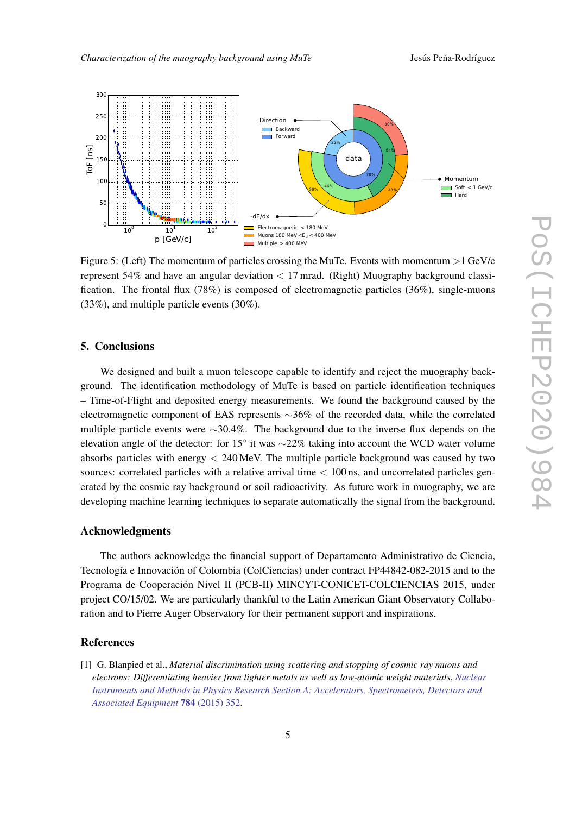<span id="page-5-0"></span>

Figure 5: (Left) The momentum of particles crossing the MuTe. Events with momentum  $>1$  GeV/c represent 54% and have an angular deviation < 17 mrad. (Right) Muography background classification. The frontal flux (78%) is composed of electromagnetic particles (36%), single-muons (33%), and multiple particle events (30%).

### 5. Conclusions

We designed and built a muon telescope capable to identify and reject the muography background. The identification methodology of MuTe is based on particle identification techniques – Time-of-Flight and deposited energy measurements. We found the background caused by the electromagnetic component of EAS represents ∼36% of the recorded data, while the correlated multiple particle events were ∼30.4%. The background due to the inverse flux depends on the elevation angle of the detector: for 15 $^{\circ}$  it was  $\sim$ 22% taking into account the WCD water volume absorbs particles with energy < 240 MeV. The multiple particle background was caused by two sources: correlated particles with a relative arrival time  $< 100$  ns, and uncorrelated particles generated by the cosmic ray background or soil radioactivity. As future work in muography, we are developing machine learning techniques to separate automatically the signal from the background.

#### Acknowledgments

The authors acknowledge the financial support of Departamento Administrativo de Ciencia, Tecnología e Innovación of Colombia (ColCiencias) under contract FP44842-082-2015 and to the Programa de Cooperación Nivel II (PCB-II) MINCYT-CONICET-COLCIENCIAS 2015, under project CO/15/02. We are particularly thankful to the Latin American Giant Observatory Collaboration and to Pierre Auger Observatory for their permanent support and inspirations.

## References

[1] G. Blanpied et al., *Material discrimination using scattering and stopping of cosmic ray muons and electrons: Differentiating heavier from lighter metals as well as low-atomic weight materials*, *[Nuclear](https://doi.org/10.1016/j.nima.2014.11.027) [Instruments and Methods in Physics Research Section A: Accelerators, Spectrometers, Detectors and](https://doi.org/10.1016/j.nima.2014.11.027) [Associated Equipment](https://doi.org/10.1016/j.nima.2014.11.027)* 784 (2015) 352.